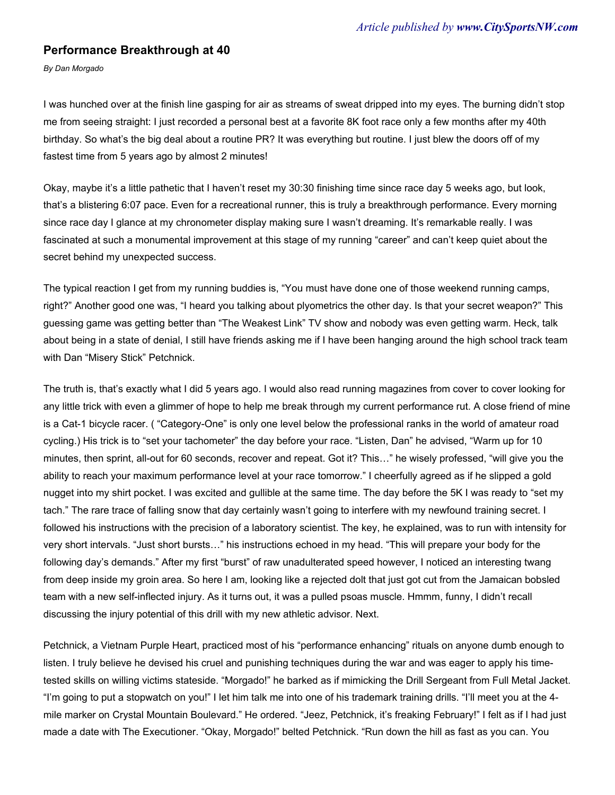## **Performance Breakthrough at 40**

*By Dan Morgado*

I was hunched over at the finish line gasping for air as streams of sweat dripped into my eyes. The burning didn't stop me from seeing straight: I just recorded a personal best at a favorite 8K foot race only a few months after my 40th birthday. So what's the big deal about a routine PR? It was everything but routine. I just blew the doors off of my fastest time from 5 years ago by almost 2 minutes!

Okay, maybe it's a little pathetic that I haven't reset my 30:30 finishing time since race day 5 weeks ago, but look, that's a blistering 6:07 pace. Even for a recreational runner, this is truly a breakthrough performance. Every morning since race day I glance at my chronometer display making sure I wasn't dreaming. It's remarkable really. I was fascinated at such a monumental improvement at this stage of my running "career" and can't keep quiet about the secret behind my unexpected success.

The typical reaction I get from my running buddies is, "You must have done one of those weekend running camps, right?" Another good one was, "I heard you talking about plyometrics the other day. Is that your secret weapon?" This guessing game was getting better than "The Weakest Link" TV show and nobody was even getting warm. Heck, talk about being in a state of denial, I still have friends asking me if I have been hanging around the high school track team with Dan "Misery Stick" Petchnick.

The truth is, that's exactly what I did 5 years ago. I would also read running magazines from cover to cover looking for any little trick with even a glimmer of hope to help me break through my current performance rut. A close friend of mine is a Cat-1 bicycle racer. ( "Category-One" is only one level below the professional ranks in the world of amateur road cycling.) His trick is to "set your tachometer" the day before your race. "Listen, Dan" he advised, "Warm up for 10 minutes, then sprint, all-out for 60 seconds, recover and repeat. Got it? This…" he wisely professed, "will give you the ability to reach your maximum performance level at your race tomorrow." I cheerfully agreed as if he slipped a gold nugget into my shirt pocket. I was excited and gullible at the same time. The day before the 5K I was ready to "set my tach." The rare trace of falling snow that day certainly wasn't going to interfere with my newfound training secret. I followed his instructions with the precision of a laboratory scientist. The key, he explained, was to run with intensity for very short intervals. "Just short bursts…" his instructions echoed in my head. "This will prepare your body for the following day's demands." After my first "burst" of raw unadulterated speed however, I noticed an interesting twang from deep inside my groin area. So here I am, looking like a rejected dolt that just got cut from the Jamaican bobsled team with a new self-inflected injury. As it turns out, it was a pulled psoas muscle. Hmmm, funny, I didn't recall discussing the injury potential of this drill with my new athletic advisor. Next.

Petchnick, a Vietnam Purple Heart, practiced most of his "performance enhancing" rituals on anyone dumb enough to listen. I truly believe he devised his cruel and punishing techniques during the war and was eager to apply his timetested skills on willing victims stateside. "Morgado!" he barked as if mimicking the Drill Sergeant from Full Metal Jacket. "I'm going to put a stopwatch on you!" I let him talk me into one of his trademark training drills. "I'll meet you at the 4 mile marker on Crystal Mountain Boulevard." He ordered. "Jeez, Petchnick, it's freaking February!" I felt as if I had just made a date with The Executioner. "Okay, Morgado!" belted Petchnick. "Run down the hill as fast as you can. You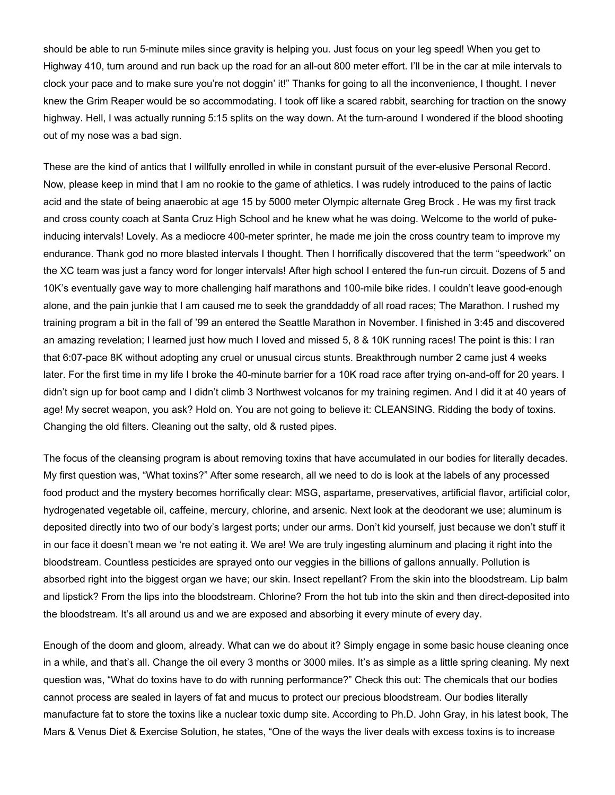should be able to run 5-minute miles since gravity is helping you. Just focus on your leg speed! When you get to Highway 410, turn around and run back up the road for an all-out 800 meter effort. I'll be in the car at mile intervals to clock your pace and to make sure you're not doggin' it!" Thanks for going to all the inconvenience, I thought. I never knew the Grim Reaper would be so accommodating. I took off like a scared rabbit, searching for traction on the snowy highway. Hell, I was actually running 5:15 splits on the way down. At the turn-around I wondered if the blood shooting out of my nose was a bad sign.

These are the kind of antics that I willfully enrolled in while in constant pursuit of the ever-elusive Personal Record. Now, please keep in mind that I am no rookie to the game of athletics. I was rudely introduced to the pains of lactic acid and the state of being anaerobic at age 15 by 5000 meter Olympic alternate Greg Brock . He was my first track and cross county coach at Santa Cruz High School and he knew what he was doing. Welcome to the world of pukeinducing intervals! Lovely. As a mediocre 400-meter sprinter, he made me join the cross country team to improve my endurance. Thank god no more blasted intervals I thought. Then I horrifically discovered that the term "speedwork" on the XC team was just a fancy word for longer intervals! After high school I entered the fun-run circuit. Dozens of 5 and 10K's eventually gave way to more challenging half marathons and 100-mile bike rides. I couldn't leave good-enough alone, and the pain junkie that I am caused me to seek the granddaddy of all road races; The Marathon. I rushed my training program a bit in the fall of '99 an entered the Seattle Marathon in November. I finished in 3:45 and discovered an amazing revelation; I learned just how much I loved and missed 5, 8 & 10K running races! The point is this: I ran that 6:07-pace 8K without adopting any cruel or unusual circus stunts. Breakthrough number 2 came just 4 weeks later. For the first time in my life I broke the 40-minute barrier for a 10K road race after trying on-and-off for 20 years. I didn't sign up for boot camp and I didn't climb 3 Northwest volcanos for my training regimen. And I did it at 40 years of age! My secret weapon, you ask? Hold on. You are not going to believe it: CLEANSING. Ridding the body of toxins. Changing the old filters. Cleaning out the salty, old & rusted pipes.

The focus of the cleansing program is about removing toxins that have accumulated in our bodies for literally decades. My first question was, "What toxins?" After some research, all we need to do is look at the labels of any processed food product and the mystery becomes horrifically clear: MSG, aspartame, preservatives, artificial flavor, artificial color, hydrogenated vegetable oil, caffeine, mercury, chlorine, and arsenic. Next look at the deodorant we use; aluminum is deposited directly into two of our body's largest ports; under our arms. Don't kid yourself, just because we don't stuff it in our face it doesn't mean we 're not eating it. We are! We are truly ingesting aluminum and placing it right into the bloodstream. Countless pesticides are sprayed onto our veggies in the billions of gallons annually. Pollution is absorbed right into the biggest organ we have; our skin. Insect repellant? From the skin into the bloodstream. Lip balm and lipstick? From the lips into the bloodstream. Chlorine? From the hot tub into the skin and then direct-deposited into the bloodstream. It's all around us and we are exposed and absorbing it every minute of every day.

Enough of the doom and gloom, already. What can we do about it? Simply engage in some basic house cleaning once in a while, and that's all. Change the oil every 3 months or 3000 miles. It's as simple as a little spring cleaning. My next question was, "What do toxins have to do with running performance?" Check this out: The chemicals that our bodies cannot process are sealed in layers of fat and mucus to protect our precious bloodstream. Our bodies literally manufacture fat to store the toxins like a nuclear toxic dump site. According to Ph.D. John Gray, in his latest book, The Mars & Venus Diet & Exercise Solution, he states, "One of the ways the liver deals with excess toxins is to increase